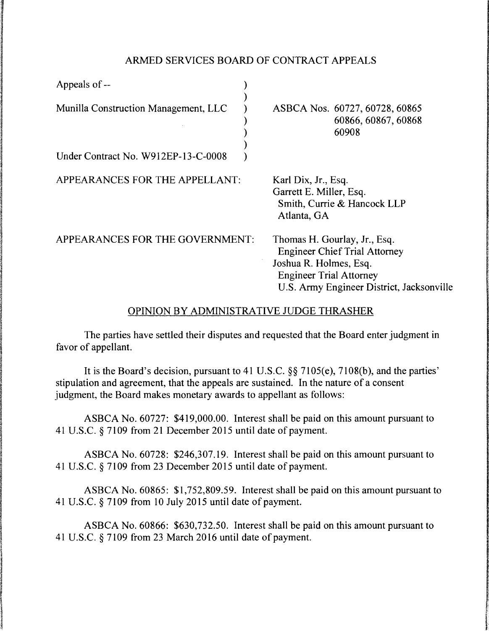## ARMED SERVICES BOARD OF CONTRACT APPEALS

| Appeals of --                            |                                                                                                                                                                               |
|------------------------------------------|-------------------------------------------------------------------------------------------------------------------------------------------------------------------------------|
| Munilla Construction Management, LLC     | ASBCA Nos. 60727, 60728, 60865<br>60866, 60867, 60868<br>60908                                                                                                                |
| Under Contract No. W912EP-13-C-0008      |                                                                                                                                                                               |
| APPEARANCES FOR THE APPELLANT:           | Karl Dix, Jr., Esq.<br>Garrett E. Miller, Esq.<br>Smith, Currie & Hancock LLP<br>Atlanta, GA                                                                                  |
| APPEARANCES FOR THE GOVERNMENT:          | Thomas H. Gourlay, Jr., Esq.<br><b>Engineer Chief Trial Attorney</b><br>Joshua R. Holmes, Esq.<br><b>Engineer Trial Attorney</b><br>U.S. Army Engineer District, Jacksonville |
| OPINION BY ADMINISTRATIVE JUDGE THRASHER |                                                                                                                                                                               |

The parties have settled their disputes and requested that the Board enter judgment in favor of appellant.

It is the Board's decision, pursuant to 41 U.S.C. §§ 7105(e), 7108(b), and the parties' stipulation and agreement, that the appeals are sustained. In the nature of a consent judgment, the Board makes monetary awards to appellant as follows:

ASBCA No. 60727: \$419,000.00. Interest shall be paid on this amount pursuant to 41 U.S.C. § 7109 from 21 December 2015 until date of payment.

ASBCA No. 60728: \$246,307 .19. Interest shall be paid on this amount pursuant to 41 U.S.C. § 7109 from 23 December 2015 until date of payment.

ASBCA No. 60865: \$1,752,809.59. Interest shall be paid on this amount pursuant to 41 U.S.C. § 7109 from 10 July 2015 until date of payment.

ASBCA No. 60866: \$630,732.50. Interest shall be paid on this amount pursuant to 41 U.S.C. § 7109 from 23 March 2016 until date of payment.